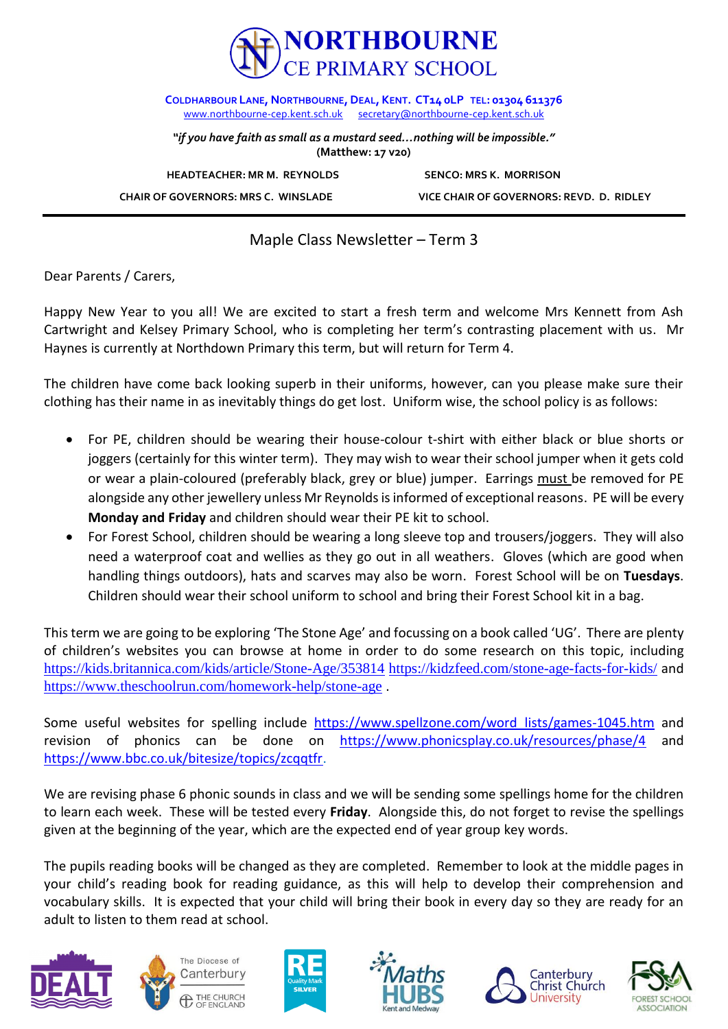

**COLDHARBOUR LANE, NORTHBOURNE,DEAL, KENT. CT14 0LP TEL: 01304 611376** [www.northbourne-cep.kent.sch.uk](http://www.northbourne-cep.kent.sch.uk/) [secretary@northbourne-cep.kent.sch.uk](mailto:secretary@northbourne-cep.kent.sch.uk)

*"if you have faith as small as a mustard seed…nothing will be impossible."* **(Matthew: 17 v20)**

**HEADTEACHER: MR M. REYNOLDS SENCO: MRS K. MORRISON** 

 **CHAIR OF GOVERNORS: MRS C. WINSLADE VICE CHAIR OF GOVERNORS: REVD. D. RIDLEY**

Maple Class Newsletter – Term 3

Dear Parents / Carers,

Happy New Year to you all! We are excited to start a fresh term and welcome Mrs Kennett from Ash Cartwright and Kelsey Primary School, who is completing her term's contrasting placement with us. Mr Haynes is currently at Northdown Primary this term, but will return for Term 4.

The children have come back looking superb in their uniforms, however, can you please make sure their clothing has their name in as inevitably things do get lost. Uniform wise, the school policy is as follows:

- For PE, children should be wearing their house-colour t-shirt with either black or blue shorts or joggers (certainly for this winter term). They may wish to wear their school jumper when it gets cold or wear a plain-coloured (preferably black, grey or blue) jumper. Earrings must be removed for PE alongside any other jewellery unless Mr Reynolds is informed of exceptional reasons. PE will be every **Monday and Friday** and children should wear their PE kit to school.
- For Forest School, children should be wearing a long sleeve top and trousers/joggers. They will also need a waterproof coat and wellies as they go out in all weathers. Gloves (which are good when handling things outdoors), hats and scarves may also be worn. Forest School will be on **Tuesdays**. Children should wear their school uniform to school and bring their Forest School kit in a bag.

Thisterm we are going to be exploring 'The Stone Age' and focussing on a book called 'UG'. There are plenty of children's websites you can browse at home in order to do some research on this topic, including <https://kids.britannica.com/kids/article/Stone-Age/353814> <https://kidzfeed.com/stone-age-facts-for-kids/> and <https://www.theschoolrun.com/homework-help/stone-age> .

Some useful websites for spelling include [https://www.spellzone.com/word\\_lists/games-1045.htm](https://www.spellzone.com/word_lists/games-1045.htm) and revision of phonics can be done on <https://www.phonicsplay.co.uk/resources/phase/4> and [https://www.bbc.co.uk/bitesize/topics/zcqqtfr.](https://www.bbc.co.uk/bitesize/topics/zcqqtfr)

We are revising phase 6 phonic sounds in class and we will be sending some spellings home for the children to learn each week. These will be tested every **Friday**. Alongside this, do not forget to revise the spellings given at the beginning of the year, which are the expected end of year group key words.

The pupils reading books will be changed as they are completed. Remember to look at the middle pages in your child's reading book for reading guidance, as this will help to develop their comprehension and vocabulary skills. It is expected that your child will bring their book in every day so they are ready for an adult to listen to them read at school.